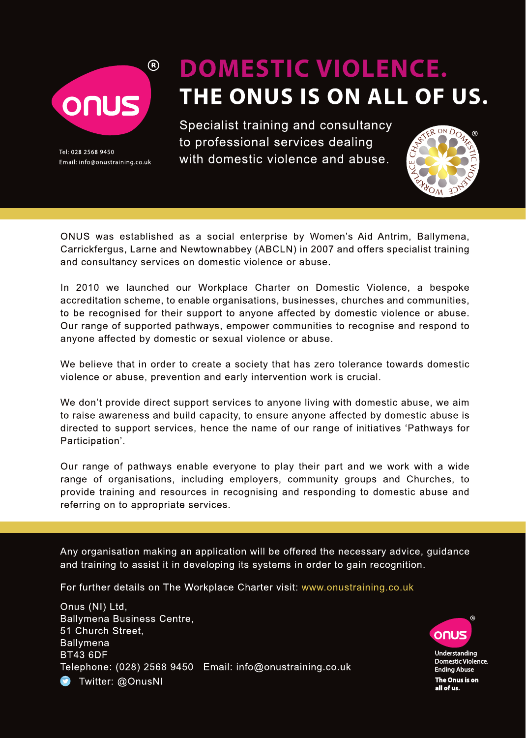

Tel: 028 2568 9450 Email: info@onustraining.co.uk

# **DOMESTIC VIOLENCE.** THE ONUS IS ON ALL OF US.

Specialist training and consultancy to professional services dealing with domestic violence and abuse.



ONUS was established as a social enterprise by Women's Aid Antrim, Ballymena, Carrickfergus, Larne and Newtownabbey (ABCLN) in 2007 and offers specialist training and consultancy services on domestic violence or abuse.

In 2010 we launched our Workplace Charter on Domestic Violence, a bespoke accreditation scheme, to enable organisations, businesses, churches and communities, to be recognised for their support to anyone affected by domestic violence or abuse. Our range of supported pathways, empower communities to recognise and respond to anyone affected by domestic or sexual violence or abuse.

We believe that in order to create a society that has zero tolerance towards domestic violence or abuse, prevention and early intervention work is crucial.

We don't provide direct support services to anyone living with domestic abuse, we aim to raise awareness and build capacity, to ensure anyone affected by domestic abuse is directed to support services, hence the name of our range of initiatives 'Pathways for Participation'.

Our range of pathways enable everyone to play their part and we work with a wide range of organisations, including employers, community groups and Churches, to provide training and resources in recognising and responding to domestic abuse and referring on to appropriate services.

Any organisation making an application will be offered the necessary advice, guidance and training to assist it in developing its systems in order to gain recognition.

For further details on The Workplace Charter visit: www.onustraining.co.uk

Onus (NI) Ltd. **Ballymena Business Centre.** 51 Church Street. **Ballymena BT43 6DF** Telephone: (028) 2568 9450 Email: info@onustraining.co.uk **D** Twitter: @OnusNI